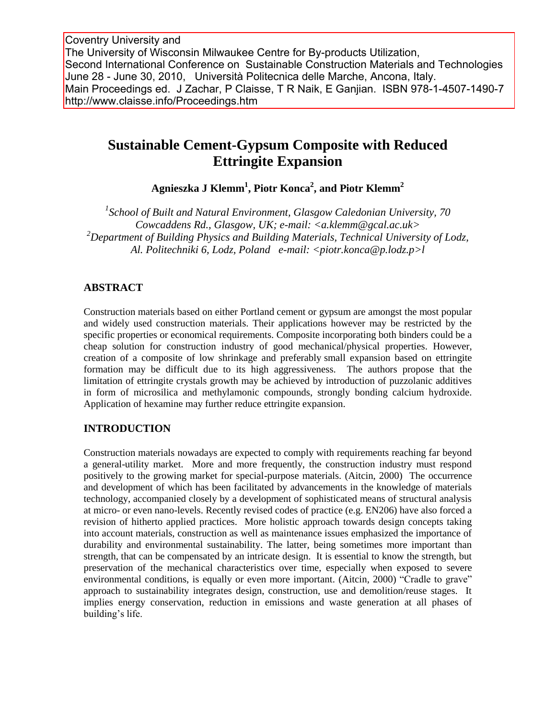Coventry University and The University of Wisconsin Milwaukee Centre for By-products Utilization, Second International Conference on Sustainable Construction Materials and Technologies June 28 June 30, 2010, Università Politecnica delle Marche, Ancona, Italy. Main Proceedings ed. J Zachar, P Claisse, T R Naik, E Ganjian. ISBN 978-1-4507-1490-7 http://www.claisse.info/Proceedings.htm

# **Sustainable Cement-Gypsum Composite with Reduced Ettringite Expansion**

**Agnieszka J Klemm<sup>1</sup> , Piotr Konca<sup>2</sup> , and Piotr Klemm<sup>2</sup>**

*1 School of Built and Natural Environment, Glasgow Caledonian University, 70 Cowcaddens Rd., Glasgow, UK; e-mail: <a.klemm@gcal.ac.uk> <sup>2</sup>Department of Building Physics and Building Materials, Technical University of Lodz, Al. Politechniki 6, Lodz, Poland e-mail: <piotr.konca@p.lodz.p>l*

### **ABSTRACT**

Construction materials based on either Portland cement or gypsum are amongst the most popular and widely used construction materials. Their applications however may be restricted by the specific properties or economical requirements. Composite incorporating both binders could be a cheap solution for construction industry of good mechanical/physical properties. However, creation of a composite of low shrinkage and preferably small expansion based on ettringite formation may be difficult due to its high aggressiveness. The authors propose that the limitation of ettringite crystals growth may be achieved by introduction of puzzolanic additives in form of microsilica and methylamonic compounds, strongly bonding calcium hydroxide. Application of hexamine may further reduce ettringite expansion.

### **INTRODUCTION**

Construction materials nowadays are expected to comply with requirements reaching far beyond a general-utility market. More and more frequently, the construction industry must respond positively to the growing market for special-purpose materials. (Aitcin, 2000) The occurrence and development of which has been facilitated by advancements in the knowledge of materials technology, accompanied closely by a development of sophisticated means of structural analysis at micro- or even nano-levels. Recently revised codes of practice (e.g. EN206) have also forced a revision of hitherto applied practices. More holistic approach towards design concepts taking into account materials, construction as well as maintenance issues emphasized the importance of durability and environmental sustainability. The latter, being sometimes more important than strength, that can be compensated by an intricate design. It is essential to know the strength, but preservation of the mechanical characteristics over time, especially when exposed to severe environmental conditions, is equally or even more important. (Aitcin, 2000) "Cradle to grave" approach to sustainability integrates design, construction, use and demolition/reuse stages. It implies energy conservation, reduction in emissions and waste generation at all phases of building's life.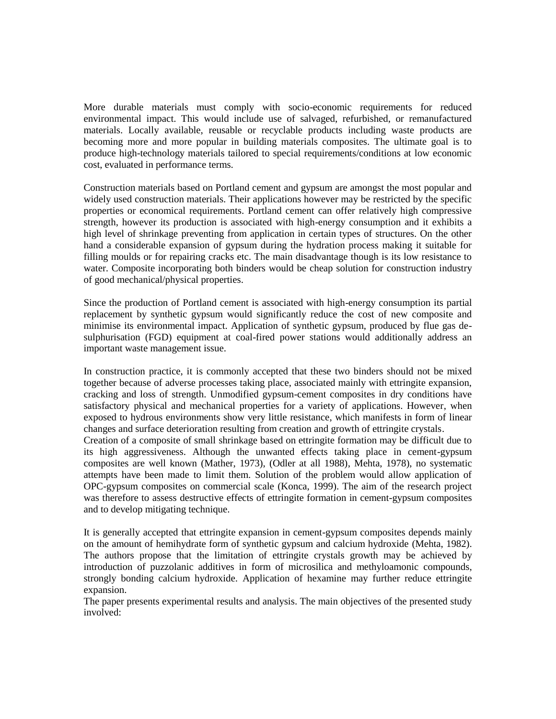More durable materials must comply with socio-economic requirements for reduced environmental impact. This would include use of salvaged, refurbished, or remanufactured materials. Locally available, reusable or recyclable products including waste products are becoming more and more popular in building materials composites. The ultimate goal is to produce high-technology materials tailored to special requirements/conditions at low economic cost, evaluated in performance terms.

Construction materials based on Portland cement and gypsum are amongst the most popular and widely used construction materials. Their applications however may be restricted by the specific properties or economical requirements. Portland cement can offer relatively high compressive strength, however its production is associated with high-energy consumption and it exhibits a high level of shrinkage preventing from application in certain types of structures. On the other hand a considerable expansion of gypsum during the hydration process making it suitable for filling moulds or for repairing cracks etc. The main disadvantage though is its low resistance to water. Composite incorporating both binders would be cheap solution for construction industry of good mechanical/physical properties.

Since the production of Portland cement is associated with high-energy consumption its partial replacement by synthetic gypsum would significantly reduce the cost of new composite and minimise its environmental impact. Application of synthetic gypsum, produced by flue gas desulphurisation (FGD) equipment at coal-fired power stations would additionally address an important waste management issue.

In construction practice, it is commonly accepted that these two binders should not be mixed together because of adverse processes taking place, associated mainly with ettringite expansion, cracking and loss of strength. Unmodified gypsum-cement composites in dry conditions have satisfactory physical and mechanical properties for a variety of applications. However, when exposed to hydrous environments show very little resistance, which manifests in form of linear changes and surface deterioration resulting from creation and growth of ettringite crystals.

Creation of a composite of small shrinkage based on ettringite formation may be difficult due to its high aggressiveness. Although the unwanted effects taking place in cement-gypsum composites are well known (Mather, 1973), (Odler at all 1988), Mehta, 1978), no systematic attempts have been made to limit them. Solution of the problem would allow application of OPC-gypsum composites on commercial scale (Konca, 1999). The aim of the research project was therefore to assess destructive effects of ettringite formation in cement-gypsum composites and to develop mitigating technique.

It is generally accepted that ettringite expansion in cement-gypsum composites depends mainly on the amount of hemihydrate form of synthetic gypsum and calcium hydroxide (Mehta, 1982). The authors propose that the limitation of ettringite crystals growth may be achieved by introduction of puzzolanic additives in form of microsilica and methyloamonic compounds, strongly bonding calcium hydroxide. Application of hexamine may further reduce ettringite expansion.

The paper presents experimental results and analysis. The main objectives of the presented study involved: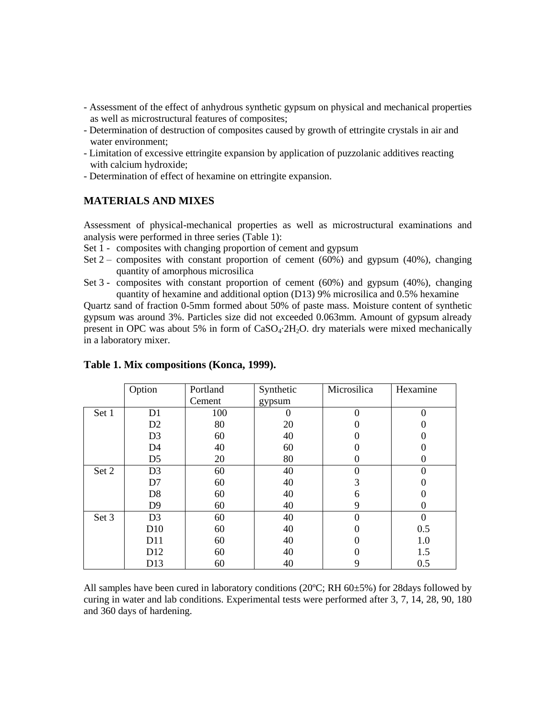- Assessment of the effect of anhydrous synthetic gypsum on physical and mechanical properties as well as microstructural features of composites;
- Determination of destruction of composites caused by growth of ettringite crystals in air and water environment;
- Limitation of excessive ettringite expansion by application of puzzolanic additives reacting with calcium hydroxide;
- Determination of effect of hexamine on ettringite expansion.

## **MATERIALS AND MIXES**

Assessment of physical-mechanical properties as well as microstructural examinations and analysis were performed in three series (Table 1):

- Set 1 composites with changing proportion of cement and gypsum
- Set  $2$  composites with constant proportion of cement (60%) and gypsum (40%), changing quantity of amorphous microsilica
- Set 3 composites with constant proportion of cement (60%) and gypsum (40%), changing quantity of hexamine and additional option (D13) 9% microsilica and 0.5% hexamine

Quartz sand of fraction 0-5mm formed about 50% of paste mass. Moisture content of synthetic gypsum was around 3%. Particles size did not exceeded 0.063mm. Amount of gypsum already present in OPC was about 5% in form of  $CaSO_4.2H_2O$ . dry materials were mixed mechanically in a laboratory mixer.

|       | Option          | Portland | Synthetic | Microsilica    | Hexamine       |
|-------|-----------------|----------|-----------|----------------|----------------|
|       |                 | Cement   | gypsum    |                |                |
| Set 1 | D1              | 100      |           | $\Omega$       | 0              |
|       | D <sub>2</sub>  | 80       | 20        | 0              |                |
|       | D <sub>3</sub>  | 60       | 40        | $\theta$       | 0              |
|       | D <sub>4</sub>  | 40       | 60        | 0              |                |
|       | D <sub>5</sub>  | 20       | 80        | 0              | 0              |
| Set 2 | D <sub>3</sub>  | 60       | 40        | $\overline{0}$ | $\overline{0}$ |
|       | D7              | 60       | 40        | 3              |                |
|       | D <sub>8</sub>  | 60       | 40        | 6              |                |
|       | D <sub>9</sub>  | 60       | 40        | 9              | 0              |
| Set 3 | D <sub>3</sub>  | 60       | 40        | $\Omega$       | $\overline{0}$ |
|       | D <sub>10</sub> | 60       | 40        | 0              | 0.5            |
|       | D11             | 60       | 40        | $\Omega$       | 1.0            |
|       | D <sub>12</sub> | 60       | 40        | 0              | 1.5            |
|       | D <sub>13</sub> | 60       | 40        | 9              | 0.5            |

#### **Table 1. Mix compositions (Konca, 1999).**

All samples have been cured in laboratory conditions (20 $^{\circ}$ C; RH 60 $\pm$ 5%) for 28days followed by curing in water and lab conditions. Experimental tests were performed after 3, 7, 14, 28, 90, 180 and 360 days of hardening.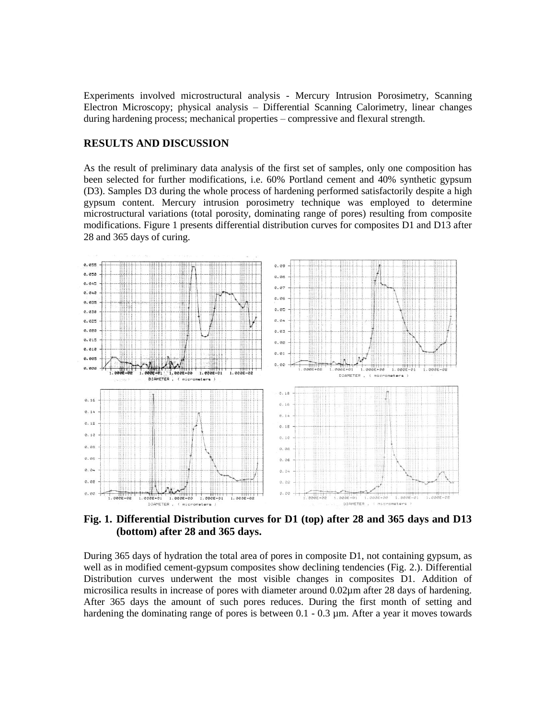Experiments involved microstructural analysis - Mercury Intrusion Porosimetry, Scanning Electron Microscopy; physical analysis – Differential Scanning Calorimetry, linear changes during hardening process; mechanical properties – compressive and flexural strength.

#### **RESULTS AND DISCUSSION**

As the result of preliminary data analysis of the first set of samples, only one composition has been selected for further modifications, i.e. 60% Portland cement and 40% synthetic gypsum (D3). Samples D3 during the whole process of hardening performed satisfactorily despite a high gypsum content. Mercury intrusion porosimetry technique was employed to determine microstructural variations (total porosity, dominating range of pores) resulting from composite modifications. Figure 1 presents differential distribution curves for composites D1 and D13 after 28 and 365 days of curing.



**Fig. 1. Differential Distribution curves for D1 (top) after 28 and 365 days and D13 (bottom) after 28 and 365 days.**

During 365 days of hydration the total area of pores in composite D1, not containing gypsum, as well as in modified cement-gypsum composites show declining tendencies (Fig. 2.). Differential Distribution curves underwent the most visible changes in composites D1. Addition of microsilica results in increase of pores with diameter around 0.02µm after 28 days of hardening. After 365 days the amount of such pores reduces. During the first month of setting and hardening the dominating range of pores is between 0.1 - 0.3  $\mu$ m. After a year it moves towards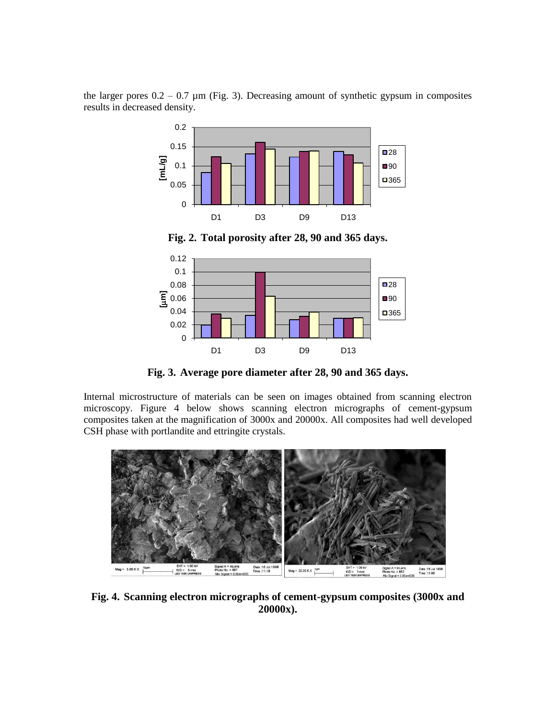the larger pores  $0.2 - 0.7$  µm (Fig. 3). Decreasing amount of synthetic gypsum in composites results in decreased density.



**Fig. 2. Total porosity after 28, 90 and 365 days.**



**Fig. 3. Average pore diameter after 28, 90 and 365 days.**

Internal microstructure of materials can be seen on images obtained from scanning electron microscopy. Figure 4 below shows scanning electron micrographs of cement-gypsum composites taken at the magnification of 3000x and 20000x. All composites had well developed CSH phase with portlandite and ettringite crystals.



**Fig. 4. Scanning electron micrographs of cement-gypsum composites (3000x and 20000x).**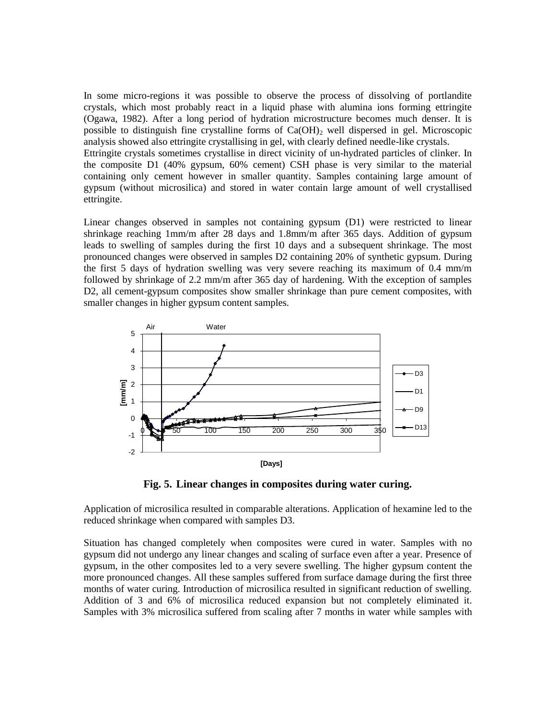In some micro-regions it was possible to observe the process of dissolving of portlandite crystals, which most probably react in a liquid phase with alumina ions forming ettringite (Ogawa, 1982). After a long period of hydration microstructure becomes much denser. It is possible to distinguish fine crystalline forms of  $Ca(OH)_2$  well dispersed in gel. Microscopic analysis showed also ettringite crystallising in gel, with clearly defined needle-like crystals.

Ettringite crystals sometimes crystallise in direct vicinity of un-hydrated particles of clinker. In the composite D1 (40% gypsum, 60% cement) CSH phase is very similar to the material containing only cement however in smaller quantity. Samples containing large amount of gypsum (without microsilica) and stored in water contain large amount of well crystallised ettringite.

Linear changes observed in samples not containing gypsum (D1) were restricted to linear shrinkage reaching 1mm/m after 28 days and 1.8mm/m after 365 days. Addition of gypsum leads to swelling of samples during the first 10 days and a subsequent shrinkage. The most pronounced changes were observed in samples D2 containing 20% of synthetic gypsum. During the first 5 days of hydration swelling was very severe reaching its maximum of 0.4 mm/m followed by shrinkage of 2.2 mm/m after 365 day of hardening. With the exception of samples D2, all cement-gypsum composites show smaller shrinkage than pure cement composites, with smaller changes in higher gypsum content samples.



**Fig. 5. Linear changes in composites during water curing.**

Application of microsilica resulted in comparable alterations. Application of hexamine led to the reduced shrinkage when compared with samples D3.

Situation has changed completely when composites were cured in water. Samples with no gypsum did not undergo any linear changes and scaling of surface even after a year. Presence of gypsum, in the other composites led to a very severe swelling. The higher gypsum content the more pronounced changes. All these samples suffered from surface damage during the first three months of water curing. Introduction of microsilica resulted in significant reduction of swelling. Addition of 3 and 6% of microsilica reduced expansion but not completely eliminated it. Samples with 3% microsilica suffered from scaling after 7 months in water while samples with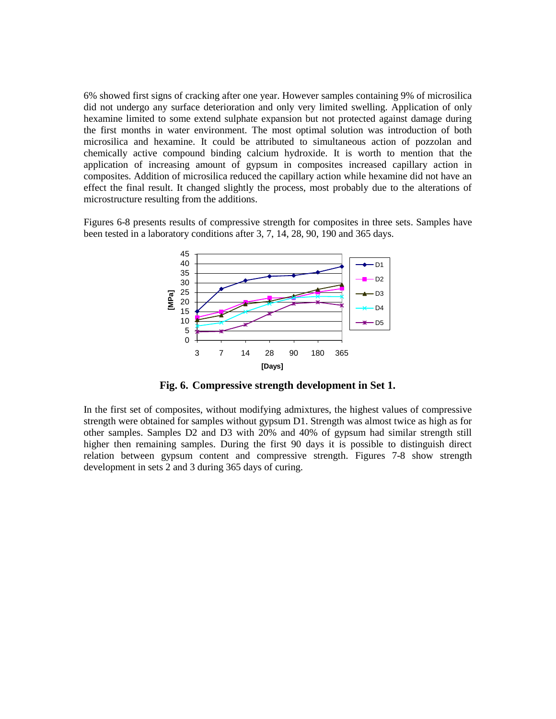6% showed first signs of cracking after one year. However samples containing 9% of microsilica did not undergo any surface deterioration and only very limited swelling. Application of only hexamine limited to some extend sulphate expansion but not protected against damage during the first months in water environment. The most optimal solution was introduction of both microsilica and hexamine. It could be attributed to simultaneous action of pozzolan and chemically active compound binding calcium hydroxide. It is worth to mention that the application of increasing amount of gypsum in composites increased capillary action in composites. Addition of microsilica reduced the capillary action while hexamine did not have an effect the final result. It changed slightly the process, most probably due to the alterations of microstructure resulting from the additions.

Figures 6-8 presents results of compressive strength for composites in three sets. Samples have been tested in a laboratory conditions after 3, 7, 14, 28, 90, 190 and 365 days.



**Fig. 6. Compressive strength development in Set 1.**

In the first set of composites, without modifying admixtures, the highest values of compressive strength were obtained for samples without gypsum D1. Strength was almost twice as high as for other samples. Samples D2 and D3 with 20% and 40% of gypsum had similar strength still higher then remaining samples. During the first 90 days it is possible to distinguish direct relation between gypsum content and compressive strength. Figures 7-8 show strength development in sets 2 and 3 during 365 days of curing.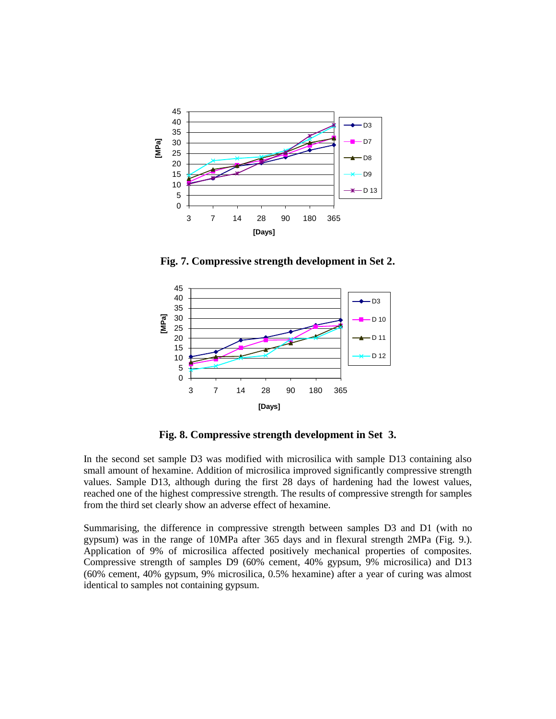

**Fig. 7. Compressive strength development in Set 2.**



**Fig. 8. Compressive strength development in Set 3.**

In the second set sample D3 was modified with microsilica with sample D13 containing also small amount of hexamine. Addition of microsilica improved significantly compressive strength values. Sample D13, although during the first 28 days of hardening had the lowest values, reached one of the highest compressive strength. The results of compressive strength for samples from the third set clearly show an adverse effect of hexamine.

Summarising, the difference in compressive strength between samples D3 and D1 (with no gypsum) was in the range of 10MPa after 365 days and in flexural strength 2MPa (Fig. 9.). Application of 9% of microsilica affected positively mechanical properties of composites. Compressive strength of samples D9 (60% cement, 40% gypsum, 9% microsilica) and D13 (60% cement, 40% gypsum, 9% microsilica, 0.5% hexamine) after a year of curing was almost identical to samples not containing gypsum.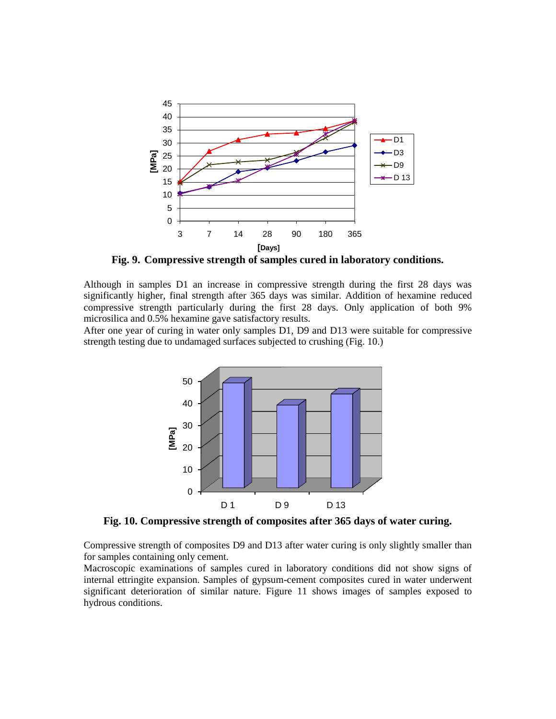

**Fig. 9. Compressive strength of samples cured in laboratory conditions.**

Although in samples D1 an increase in compressive strength during the first 28 days was significantly higher, final strength after 365 days was similar. Addition of hexamine reduced compressive strength particularly during the first 28 days. Only application of both 9% microsilica and 0.5% hexamine gave satisfactory results.

After one year of curing in water only samples D1, D9 and D13 were suitable for compressive strength testing due to undamaged surfaces subjected to crushing (Fig. 10.)



**Fig. 10. Compressive strength of composites after 365 days of water curing.**

Compressive strength of composites D9 and D13 after water curing is only slightly smaller than for samples containing only cement.

Macroscopic examinations of samples cured in laboratory conditions did not show signs of internal ettringite expansion. Samples of gypsum-cement composites cured in water underwent significant deterioration of similar nature. Figure 11 shows images of samples exposed to hydrous conditions.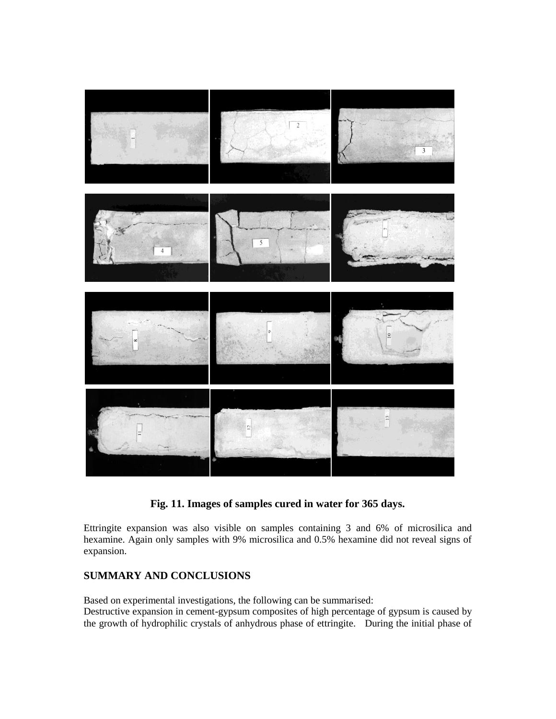

### **Fig. 11. Images of samples cured in water for 365 days.**

Ettringite expansion was also visible on samples containing 3 and 6% of microsilica and hexamine. Again only samples with 9% microsilica and 0.5% hexamine did not reveal signs of expansion.

## **SUMMARY AND CONCLUSIONS**

Based on experimental investigations, the following can be summarised: Destructive expansion in cement-gypsum composites of high percentage of gypsum is caused by the growth of hydrophilic crystals of anhydrous phase of ettringite. During the initial phase of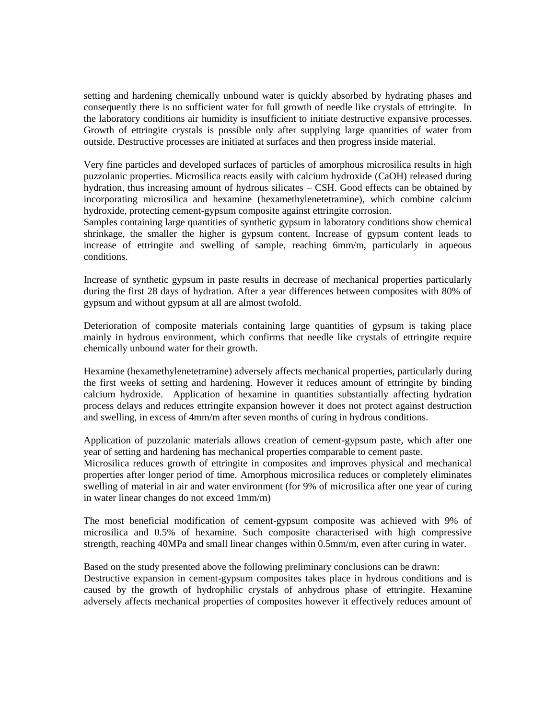setting and hardening chemically unbound water is quickly absorbed by hydrating phases and consequently there is no sufficient water for full growth of needle like crystals of ettringite. In the laboratory conditions air humidity is insufficient to initiate destructive expansive processes. Growth of ettringite crystals is possible only after supplying large quantities of water from outside. Destructive processes are initiated at surfaces and then progress inside material.

Very fine particles and developed surfaces of particles of amorphous microsilica results in high puzzolanic properties. Microsilica reacts easily with calcium hydroxide (CaOH) released during hydration, thus increasing amount of hydrous silicates – CSH. Good effects can be obtained by incorporating microsilica and hexamine (hexamethylenetetramine), which combine calcium hydroxide, protecting cement-gypsum composite against ettringite corrosion.

Samples containing large quantities of synthetic gypsum in laboratory conditions show chemical shrinkage, the smaller the higher is gypsum content. Increase of gypsum content leads to increase of ettringite and swelling of sample, reaching 6mm/m, particularly in aqueous conditions.

Increase of synthetic gypsum in paste results in decrease of mechanical properties particularly during the first 28 days of hydration. After a year differences between composites with 80% of gypsum and without gypsum at all are almost twofold.

Deterioration of composite materials containing large quantities of gypsum is taking place mainly in hydrous environment, which confirms that needle like crystals of ettringite require chemically unbound water for their growth.

Hexamine (hexamethylenetetramine) adversely affects mechanical properties, particularly during the first weeks of setting and hardening. However it reduces amount of ettringite by binding calcium hydroxide. Application of hexamine in quantities substantially affecting hydration process delays and reduces ettringite expansion however it does not protect against destruction and swelling, in excess of 4mm/m after seven months of curing in hydrous conditions.

Application of puzzolanic materials allows creation of cement-gypsum paste, which after one year of setting and hardening has mechanical properties comparable to cement paste.

Microsilica reduces growth of ettringite in composites and improves physical and mechanical properties after longer period of time. Amorphous microsilica reduces or completely eliminates swelling of material in air and water environment (for 9% of microsilica after one year of curing in water linear changes do not exceed 1mm/m)

The most beneficial modification of cement-gypsum composite was achieved with 9% of microsilica and 0.5% of hexamine. Such composite characterised with high compressive strength, reaching 40MPa and small linear changes within 0.5mm/m, even after curing in water.

Based on the study presented above the following preliminary conclusions can be drawn: Destructive expansion in cement-gypsum composites takes place in hydrous conditions and is caused by the growth of hydrophilic crystals of anhydrous phase of ettringite. Hexamine adversely affects mechanical properties of composites however it effectively reduces amount of